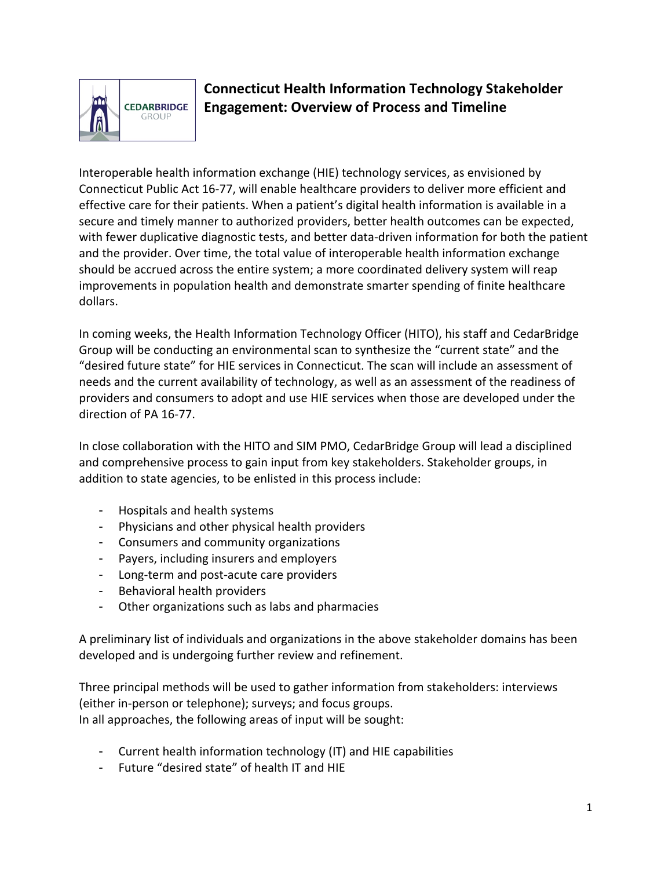

## **Connecticut Health Information Technology Stakeholder Engagement: Overview of Process and Timeline**

Interoperable health information exchange (HIE) technology services, as envisioned by Connecticut Public Act 16‐77, will enable healthcare providers to deliver more efficient and effective care for their patients. When a patient's digital health information is available in a secure and timely manner to authorized providers, better health outcomes can be expected, with fewer duplicative diagnostic tests, and better data-driven information for both the patient and the provider. Over time, the total value of interoperable health information exchange should be accrued across the entire system; a more coordinated delivery system will reap improvements in population health and demonstrate smarter spending of finite healthcare dollars.

In coming weeks, the Health Information Technology Officer (HITO), his staff and CedarBridge Group will be conducting an environmental scan to synthesize the "current state" and the "desired future state" for HIE services in Connecticut. The scan will include an assessment of needs and the current availability of technology, as well as an assessment of the readiness of providers and consumers to adopt and use HIE services when those are developed under the direction of PA 16‐77.

In close collaboration with the HITO and SIM PMO, CedarBridge Group will lead a disciplined and comprehensive process to gain input from key stakeholders. Stakeholder groups, in addition to state agencies, to be enlisted in this process include:

- Hospitals and health systems
- Physicians and other physical health providers
- Consumers and community organizations
- Payers, including insurers and employers
- Long‐term and post‐acute care providers
- Behavioral health providers
- Other organizations such as labs and pharmacies

A preliminary list of individuals and organizations in the above stakeholder domains has been developed and is undergoing further review and refinement.

Three principal methods will be used to gather information from stakeholders: interviews (either in‐person or telephone); surveys; and focus groups. In all approaches, the following areas of input will be sought:

- Current health information technology (IT) and HIE capabilities
- Future "desired state" of health IT and HIE